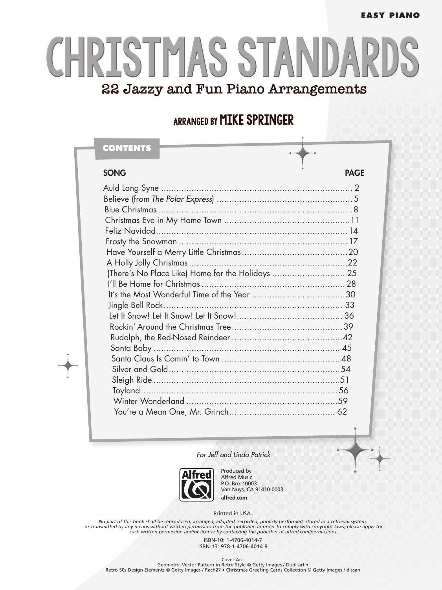#### **EASY PIANO**

# CHRISTMAS STANDAR 22 Jazzy and Fun Piano Arrangements

#### ARRANGED BY MIKE SPRINGER

| CONTENTS                                          |             |
|---------------------------------------------------|-------------|
| <b>SONG</b>                                       | <b>PAGE</b> |
|                                                   |             |
|                                                   |             |
|                                                   |             |
|                                                   |             |
|                                                   |             |
|                                                   |             |
|                                                   |             |
|                                                   |             |
| (There's No Place Like) Home for the Holidays  25 |             |
|                                                   |             |
|                                                   |             |
|                                                   |             |
|                                                   |             |
|                                                   |             |
|                                                   |             |
|                                                   |             |
|                                                   |             |
|                                                   |             |
|                                                   |             |
|                                                   |             |
|                                                   |             |
|                                                   |             |

*For Jeff and Linda Patrick*



Produced by Alfred Music P.O. Box 10003 Van Nuys, CA 91410-0003 **alfred.com**

Printed in USA.

No part of this book shall be reproduced, arranged, adapted, recorded, publicly performed, stored in a retrieval system,<br>or transmitted by any means without written permission from the publisher. In order to comply with co

ISBN-10: 1-4706-4014-7 ISBN-13: 978-1-4706-4014-9

Cover Art:<br>• Geometric Vector Pattern in Retro Style © Getty Images / Dudi-art<br>Retro 50s Design Elements © Getty Images / Rach27 • Christmas Greeting Cards Collection © Getty Images / discan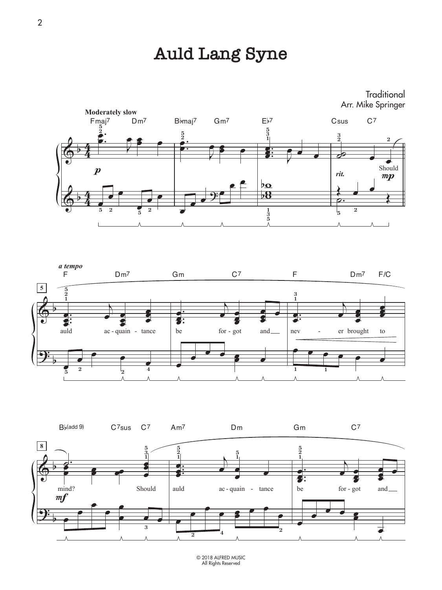# **Auld Lang Syne**









© 2018 ALFRED MUSIC All Rights Reserved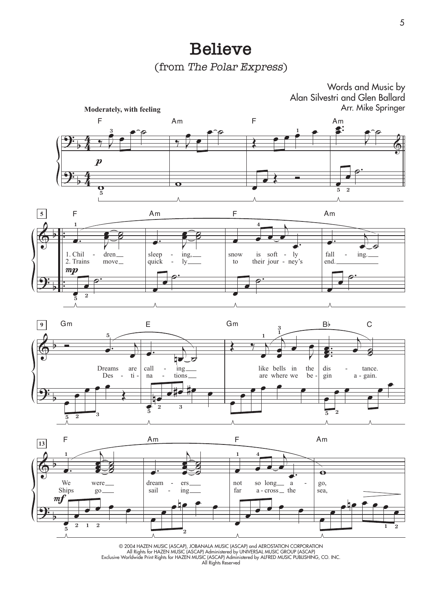#### **Believe**

(from The Polar Express)









© 2004 HAZEN MUSIC (ASCAP), JOBANALA MUSIC (ASCAP) and AEROSTATION CORPORATION All Rights for HAZEN MUSIC (ASCAP) Administered by UNIVERSAL MUSIC GROUP (ASCAP) Exclusive Worldwide Print Rights for HAZEN MUSIC (ASCAP) Administered by ALFRED MUSIC PUBLISHING, CO. INC. All Rights Reserved

5

Words and Music by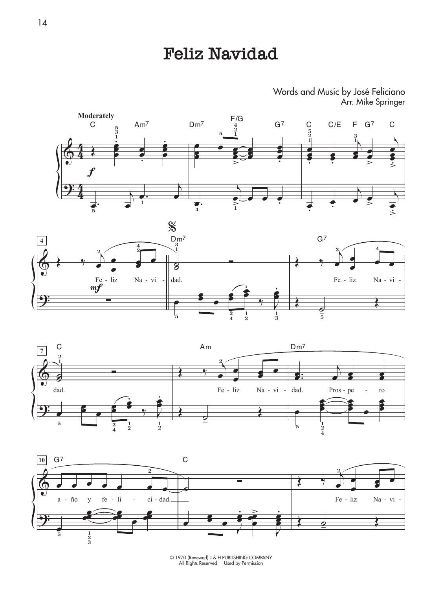## **Feliz Navidad**

Words and Music by José Feliciano Arr. Mike Springer









© 1970 (Renewed) J & H PUBLISHING COMPANY All Rights Reserved Used by Permission